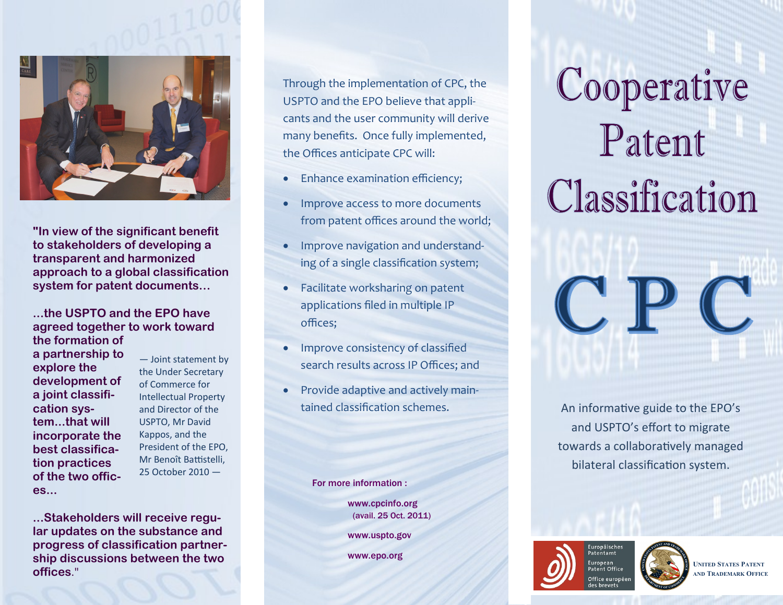

**"In view of the significant benefit to stakeholders of developing a transparent and harmonized approach to a global classification system for patent documents…**

#### **...the USPTO and the EPO have agreed together to work toward the formation of**

**a partnership to explore the development of a joint classification system...that will incorporate the best classification practices of the two offices...**

— Joint statement by the Under Secretary of Commerce for Intellectual Property and Director of the USPTO, Mr David Kappos, and the President of the EPO, Mr Benoît Battistelli, 25 October 2010 —

**...Stakeholders will receive regular updates on the substance and progress of classification partnership discussions between the two offices**."

Through the implementation of CPC, the USPTO and the EPO believe that applicants and the user community will derive many benefits. Once fully implemented, the Offices anticipate CPC will:

- Enhance examination efficiency;
- Improve access to more documents from patent offices around the world;
- Improve navigation and understanding of a single classification system;
- Facilitate worksharing on patent applications filed in multiple IP offices;
- Improve consistency of classified search results across IP Offices; and
- Provide adaptive and actively main-

For more information :

www.cpcinfo.org (avail. 25 Oct. 2011)

www.uspto.gov

www.epo.org

# Cooperative Patent Classification







**UNITED STATES PATENT AND TRADEMARK OFFICE**